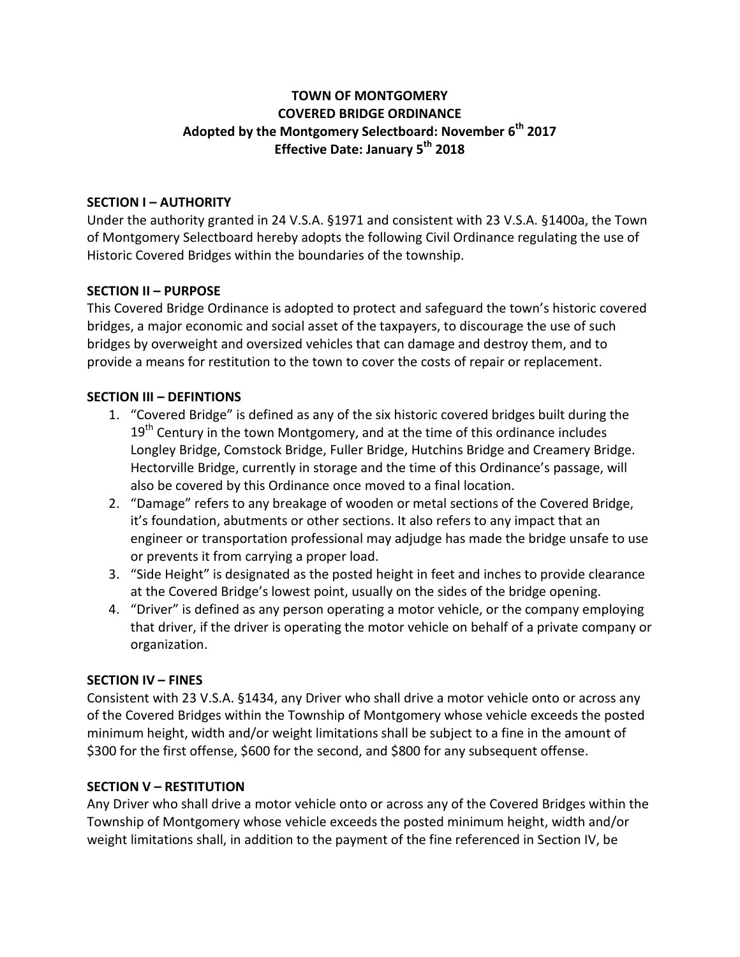## **TOWN OF MONTGOMERY COVERED BRIDGE ORDINANCE Adopted by the Montgomery Selectboard: November 6th 2017 Effective Date: January 5th 2018**

## **SECTION I – AUTHORITY**

Under the authority granted in 24 V.S.A. §1971 and consistent with 23 V.S.A. §1400a, the Town of Montgomery Selectboard hereby adopts the following Civil Ordinance regulating the use of Historic Covered Bridges within the boundaries of the township.

## **SECTION II – PURPOSE**

This Covered Bridge Ordinance is adopted to protect and safeguard the town's historic covered bridges, a major economic and social asset of the taxpayers, to discourage the use of such bridges by overweight and oversized vehicles that can damage and destroy them, and to provide a means for restitution to the town to cover the costs of repair or replacement.

## **SECTION III – DEFINTIONS**

- 1. "Covered Bridge" is defined as any of the six historic covered bridges built during the  $19<sup>th</sup>$  Century in the town Montgomery, and at the time of this ordinance includes Longley Bridge, Comstock Bridge, Fuller Bridge, Hutchins Bridge and Creamery Bridge. Hectorville Bridge, currently in storage and the time of this Ordinance's passage, will also be covered by this Ordinance once moved to a final location.
- 2. "Damage" refers to any breakage of wooden or metal sections of the Covered Bridge, it's foundation, abutments or other sections. It also refers to any impact that an engineer or transportation professional may adjudge has made the bridge unsafe to use or prevents it from carrying a proper load.
- 3. "Side Height" is designated as the posted height in feet and inches to provide clearance at the Covered Bridge's lowest point, usually on the sides of the bridge opening.
- 4. "Driver" is defined as any person operating a motor vehicle, or the company employing that driver, if the driver is operating the motor vehicle on behalf of a private company or organization.

#### **SECTION IV – FINES**

Consistent with 23 V.S.A. §1434, any Driver who shall drive a motor vehicle onto or across any of the Covered Bridges within the Township of Montgomery whose vehicle exceeds the posted minimum height, width and/or weight limitations shall be subject to a fine in the amount of \$300 for the first offense, \$600 for the second, and \$800 for any subsequent offense.

#### **SECTION V – RESTITUTION**

Any Driver who shall drive a motor vehicle onto or across any of the Covered Bridges within the Township of Montgomery whose vehicle exceeds the posted minimum height, width and/or weight limitations shall, in addition to the payment of the fine referenced in Section IV, be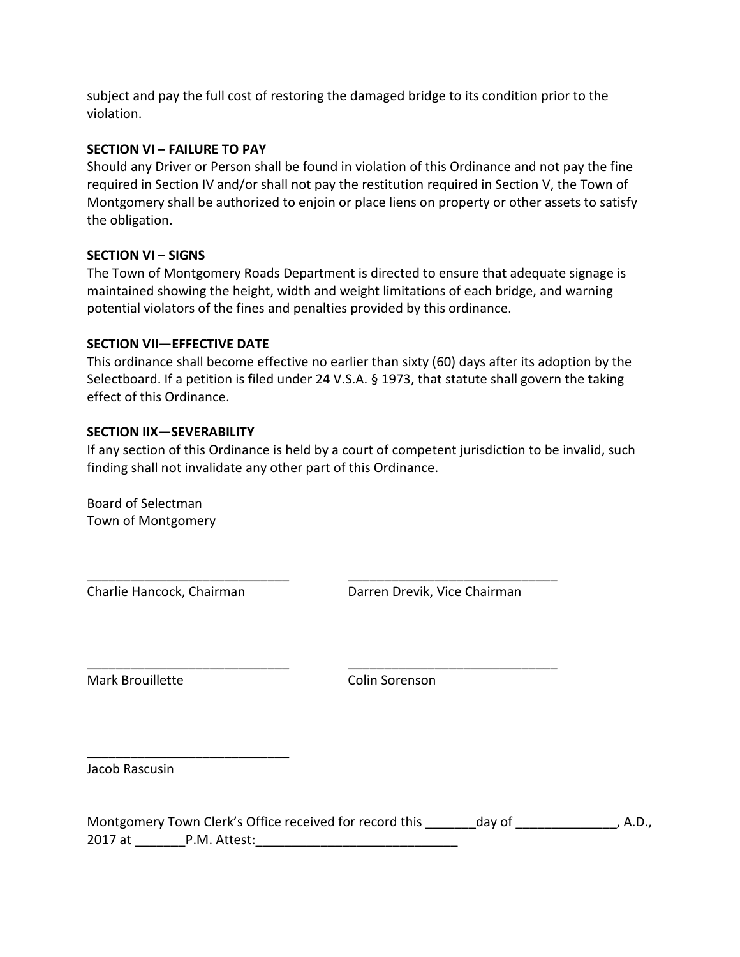subject and pay the full cost of restoring the damaged bridge to its condition prior to the violation.

#### **SECTION VI – FAILURE TO PAY**

Should any Driver or Person shall be found in violation of this Ordinance and not pay the fine required in Section IV and/or shall not pay the restitution required in Section V, the Town of Montgomery shall be authorized to enjoin or place liens on property or other assets to satisfy the obligation.

#### **SECTION VI – SIGNS**

The Town of Montgomery Roads Department is directed to ensure that adequate signage is maintained showing the height, width and weight limitations of each bridge, and warning potential violators of the fines and penalties provided by this ordinance.

#### **SECTION VII—EFFECTIVE DATE**

This ordinance shall become effective no earlier than sixty (60) days after its adoption by the Selectboard. If a petition is filed under 24 V.S.A. § 1973, that statute shall govern the taking effect of this Ordinance.

#### **SECTION IIX—SEVERABILITY**

If any section of this Ordinance is held by a court of competent jurisdiction to be invalid, such finding shall not invalidate any other part of this Ordinance.

\_\_\_\_\_\_\_\_\_\_\_\_\_\_\_\_\_\_\_\_\_\_\_\_\_\_\_\_ \_\_\_\_\_\_\_\_\_\_\_\_\_\_\_\_\_\_\_\_\_\_\_\_\_\_\_\_\_

\_\_\_\_\_\_\_\_\_\_\_\_\_\_\_\_\_\_\_\_\_\_\_\_\_\_\_\_ \_\_\_\_\_\_\_\_\_\_\_\_\_\_\_\_\_\_\_\_\_\_\_\_\_\_\_\_\_

Board of Selectman Town of Montgomery

\_\_\_\_\_\_\_\_\_\_\_\_\_\_\_\_\_\_\_\_\_\_\_\_\_\_\_\_

Charlie Hancock, Chairman Darren Drevik, Vice Chairman

Mark Brouillette Colin Sorenson

Jacob Rascusin

|         | Montgomery Town Clerk's Office received for record this | day of | , A.D., |
|---------|---------------------------------------------------------|--------|---------|
| 2017 at | P.M. Attest:                                            |        |         |